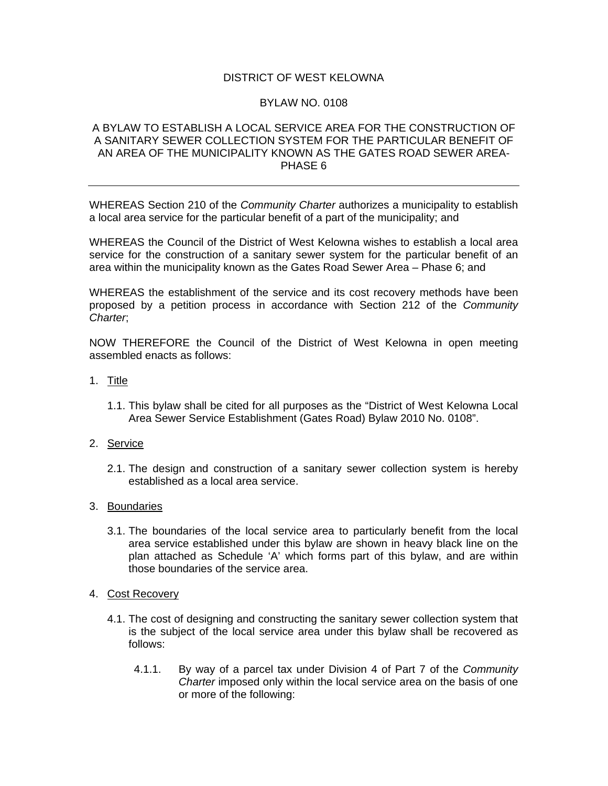## DISTRICT OF WEST KELOWNA

## BYLAW NO. 0108

## A BYLAW TO ESTABLISH A LOCAL SERVICE AREA FOR THE CONSTRUCTION OF A SANITARY SEWER COLLECTION SYSTEM FOR THE PARTICULAR BENEFIT OF AN AREA OF THE MUNICIPALITY KNOWN AS THE GATES ROAD SEWER AREA-PHASE 6

WHEREAS Section 210 of the *Community Charter* authorizes a municipality to establish a local area service for the particular benefit of a part of the municipality; and

WHEREAS the Council of the District of West Kelowna wishes to establish a local area service for the construction of a sanitary sewer system for the particular benefit of an area within the municipality known as the Gates Road Sewer Area – Phase 6; and

WHEREAS the establishment of the service and its cost recovery methods have been proposed by a petition process in accordance with Section 212 of the *Community Charter*;

NOW THEREFORE the Council of the District of West Kelowna in open meeting assembled enacts as follows:

- 1. Title
	- 1.1. This bylaw shall be cited for all purposes as the "District of West Kelowna Local Area Sewer Service Establishment (Gates Road) Bylaw 2010 No. 0108".
- 2. Service
	- 2.1. The design and construction of a sanitary sewer collection system is hereby established as a local area service.
- 3. Boundaries
	- 3.1. The boundaries of the local service area to particularly benefit from the local area service established under this bylaw are shown in heavy black line on the plan attached as Schedule 'A' which forms part of this bylaw, and are within those boundaries of the service area.
- 4. Cost Recovery
	- 4.1. The cost of designing and constructing the sanitary sewer collection system that is the subject of the local service area under this bylaw shall be recovered as follows:
		- 4.1.1. By way of a parcel tax under Division 4 of Part 7 of the *Community Charter* imposed only within the local service area on the basis of one or more of the following: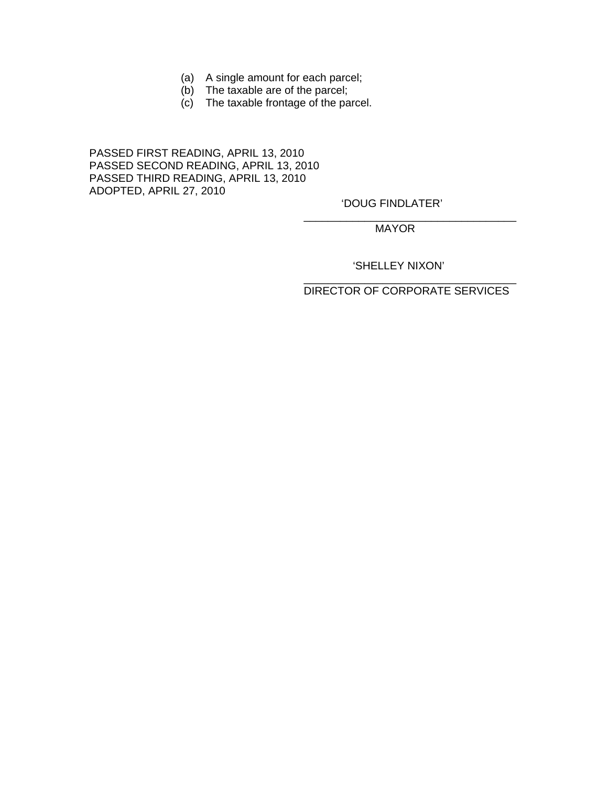- (a) A single amount for each parcel;
- (b) The taxable are of the parcel;
- (c) The taxable frontage of the parcel.

 $\overline{\phantom{a}}$  , which is a set of the contract of the contract of the contract of the contract of the contract of the contract of the contract of the contract of the contract of the contract of the contract of the contract

 $\overline{\phantom{a}}$  , which is a set of the contract of the contract of the contract of the contract of the contract of the contract of the contract of the contract of the contract of the contract of the contract of the contract

PASSED FIRST READING, APRIL 13, 2010 PASSED SECOND READING, APRIL 13, 2010 PASSED THIRD READING, APRIL 13, 2010 ADOPTED, APRIL 27, 2010

'DOUG FINDLATER'

MAYOR

'SHELLEY NIXON'

DIRECTOR OF CORPORATE SERVICES